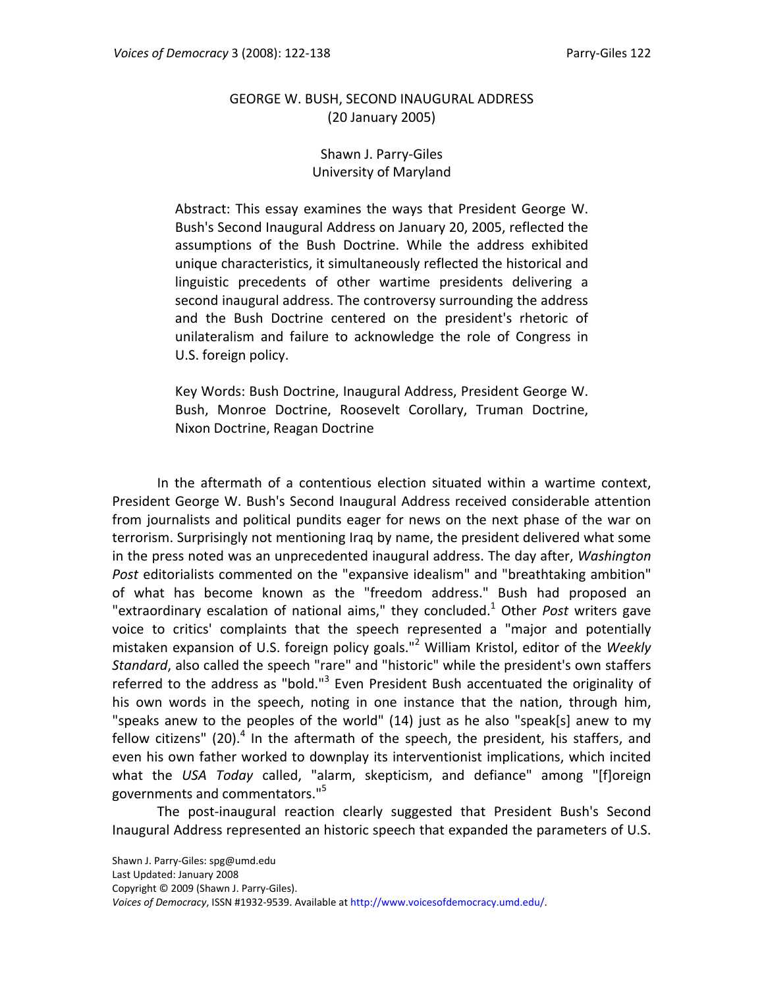# GEORGE W. BUSH, SECOND INAUGURAL ADDRESS (20 January 2005)

## Shawn J. Parry‐Giles University of Maryland

Abstract: This essay examines the ways that President George W. Bush's Second Inaugural Address on January 20, 2005, reflected the assumptions of the Bush Doctrine. While the address exhibited unique characteristics, it simultaneously reflected the historical and linguistic precedents of other wartime presidents delivering a second inaugural address. The controversy surrounding the address and the Bush Doctrine centered on the president's rhetoric of unilateralism and failure to acknowledge the role of Congress in U.S. foreign policy.

Key Words: Bush Doctrine, Inaugural Address, President George W. Bush, Monroe Doctrine, Roosevelt Corollary, Truman Doctrine, Nixon Doctrine, Reagan Doctrine

In the aftermath of a contentious election situated within a wartime context, President George W. Bush's Second Inaugural Address received considerable attention from journalists and political pundits eager for news on the next phase of the war on terrorism. Surprisingly not mentioning Iraq by name, the president delivered what some in the press noted was an unprecedented inaugural address. The day after, *Washington Post* editorialists commented on the "expansive idealism" and "breathtaking ambition" of what has become known as the "freedom address." Bush had proposed an "extraordinary escalation of national aims," they concluded.<sup>1</sup> Other *Post* writers gave voice to critics' complaints that the speech represented a "major and potentially mistaken expansion of U.S. foreign policy goals."<sup>2</sup> William Kristol, editor of the *Weekly Standard*, also called the speech "rare" and "historic" while the president's own staffers referred to the address as "bold."<sup>3</sup> Even President Bush accentuated the originality of his own words in the speech, noting in one instance that the nation, through him, "speaks anew to the peoples of the world" (14) just as he also "speak[s] anew to my fellow citizens" (20).<sup>4</sup> In the aftermath of the speech, the president, his staffers, and even his own father worked to downplay its interventionist implications, which incited what the *USA Today* called, "alarm, skepticism, and defiance" among "[f]oreign governments and commentators."5

The post‐inaugural reaction clearly suggested that President Bush's Second Inaugural Address represented an historic speech that expanded the parameters of U.S.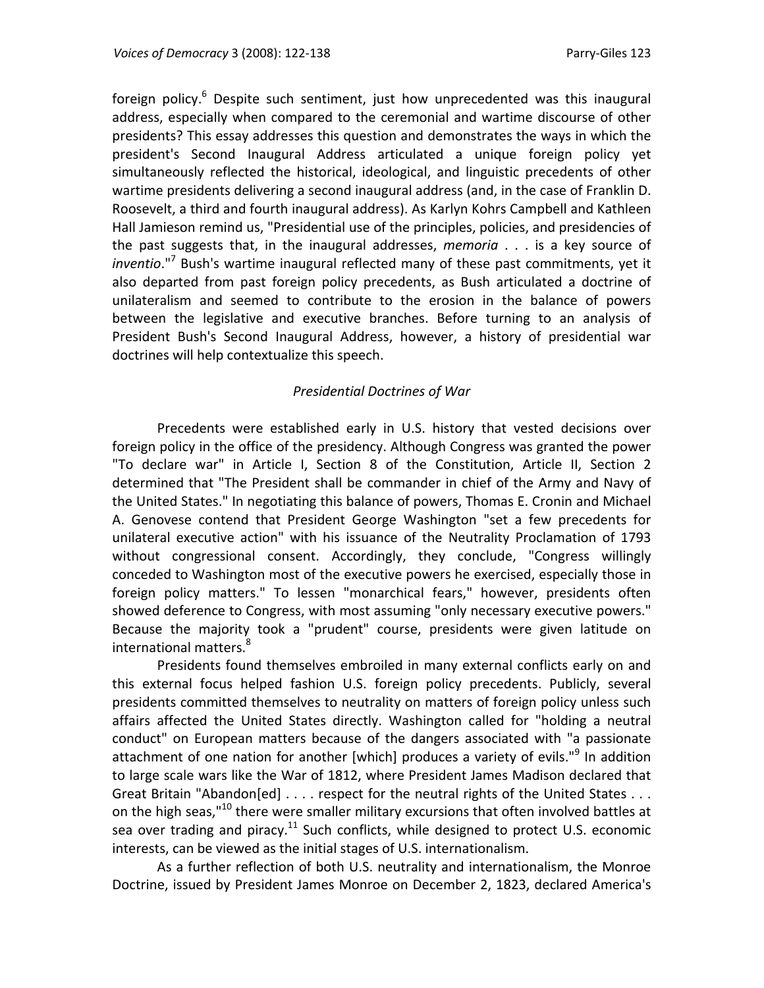foreign policy.<sup>6</sup> Despite such sentiment, just how unprecedented was this inaugural address, especially when compared to the ceremonial and wartime discourse of other presidents? This essay addresses this question and demonstrates the ways in which the president's Second Inaugural Address articulated a unique foreign policy yet simultaneously reflected the historical, ideological, and linguistic precedents of other wartime presidents delivering a second inaugural address (and, in the case of Franklin D. Roosevelt, a third and fourth inaugural address). As Karlyn Kohrs Campbell and Kathleen Hall Jamieson remind us, "Presidential use of the principles, policies, and presidencies of the past suggests that, in the inaugural addresses, *memoria* . . . is a key source of *inventio*."7 Bush's wartime inaugural reflected many of these past commitments, yet it also departed from past foreign policy precedents, as Bush articulated a doctrine of unilateralism and seemed to contribute to the erosion in the balance of powers between the legislative and executive branches. Before turning to an analysis of President Bush's Second Inaugural Address, however, a history of presidential war doctrines will help contextualize this speech.

# *Presidential Doctrines of War*

Precedents were established early in U.S. history that vested decisions over foreign policy in the office of the presidency. Although Congress was granted the power "To declare war" in Article I, Section 8 of the Constitution, Article II, Section 2 determined that "The President shall be commander in chief of the Army and Navy of the United States." In negotiating this balance of powers, Thomas E. Cronin and Michael A. Genovese contend that President George Washington "set a few precedents for unilateral executive action" with his issuance of the Neutrality Proclamation of 1793 without congressional consent. Accordingly, they conclude, "Congress willingly conceded to Washington most of the executive powers he exercised, especially those in foreign policy matters." To lessen "monarchical fears," however, presidents often showed deference to Congress, with most assuming "only necessary executive powers." Because the majority took a "prudent" course, presidents were given latitude on international matters.<sup>8</sup>

Presidents found themselves embroiled in many external conflicts early on and this external focus helped fashion U.S. foreign policy precedents. Publicly, several presidents committed themselves to neutrality on matters of foreign policy unless such affairs affected the United States directly. Washington called for "holding a neutral conduct" on European matters because of the dangers associated with "a passionate attachment of one nation for another [which] produces a variety of evils."<sup>9</sup> In addition to large scale wars like the War of 1812, where President James Madison declared that Great Britain "Abandon[ed] . . . . respect for the neutral rights of the United States . . . on the high seas,"<sup>10</sup> there were smaller military excursions that often involved battles at sea over trading and piracy.<sup>11</sup> Such conflicts, while designed to protect U.S. economic interests, can be viewed as the initial stages of U.S. internationalism.

As a further reflection of both U.S. neutrality and internationalism, the Monroe Doctrine, issued by President James Monroe on December 2, 1823, declared America's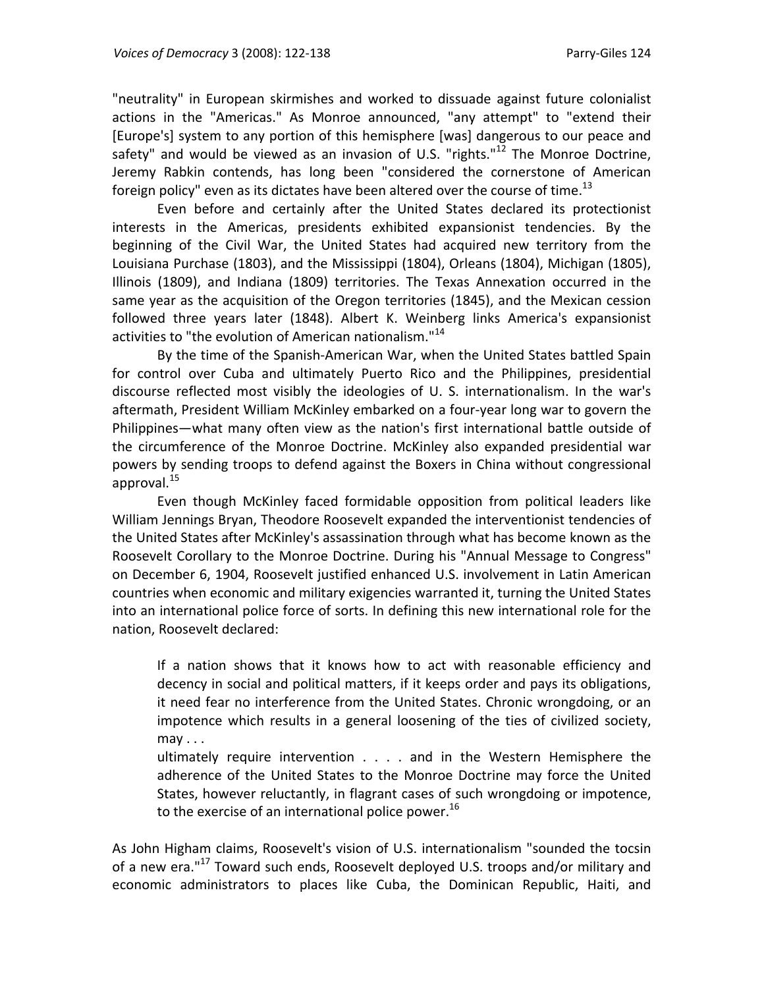"neutrality" in European skirmishes and worked to dissuade against future colonialist actions in the "Americas." As Monroe announced, "any attempt" to "extend their [Europe's] system to any portion of this hemisphere [was] dangerous to our peace and safety" and would be viewed as an invasion of U.S. "rights." $^{12}$  The Monroe Doctrine, Jeremy Rabkin contends, has long been "considered the cornerstone of American foreign policy" even as its dictates have been altered over the course of time.<sup>13</sup>

Even before and certainly after the United States declared its protectionist interests in the Americas, presidents exhibited expansionist tendencies. By the beginning of the Civil War, the United States had acquired new territory from the Louisiana Purchase (1803), and the Mississippi (1804), Orleans (1804), Michigan (1805), Illinois (1809), and Indiana (1809) territories. The Texas Annexation occurred in the same year as the acquisition of the Oregon territories (1845), and the Mexican cession followed three years later (1848). Albert K. Weinberg links America's expansionist activities to "the evolution of American nationalism."<sup>14</sup>

By the time of the Spanish‐American War, when the United States battled Spain for control over Cuba and ultimately Puerto Rico and the Philippines, presidential discourse reflected most visibly the ideologies of U. S. internationalism. In the war's aftermath, President William McKinley embarked on a four‐year long war to govern the Philippines—what many often view as the nation's first international battle outside of the circumference of the Monroe Doctrine. McKinley also expanded presidential war powers by sending troops to defend against the Boxers in China without congressional approval. $^{15}$ 

Even though McKinley faced formidable opposition from political leaders like William Jennings Bryan, Theodore Roosevelt expanded the interventionist tendencies of the United States after McKinley's assassination through what has become known as the Roosevelt Corollary to the Monroe Doctrine. During his "Annual Message to Congress" on December 6, 1904, Roosevelt justified enhanced U.S. involvement in Latin American countries when economic and military exigencies warranted it, turning the United States into an international police force of sorts. In defining this new international role for the nation, Roosevelt declared:

If a nation shows that it knows how to act with reasonable efficiency and decency in social and political matters, if it keeps order and pays its obligations, it need fear no interference from the United States. Chronic wrongdoing, or an impotence which results in a general loosening of the ties of civilized society,  $may...$ 

ultimately require intervention . . . . and in the Western Hemisphere the adherence of the United States to the Monroe Doctrine may force the United States, however reluctantly, in flagrant cases of such wrongdoing or impotence, to the exercise of an international police power.<sup>16</sup>

As John Higham claims, Roosevelt's vision of U.S. internationalism "sounded the tocsin of a new era."<sup>17</sup> Toward such ends, Roosevelt deployed U.S. troops and/or military and economic administrators to places like Cuba, the Dominican Republic, Haiti, and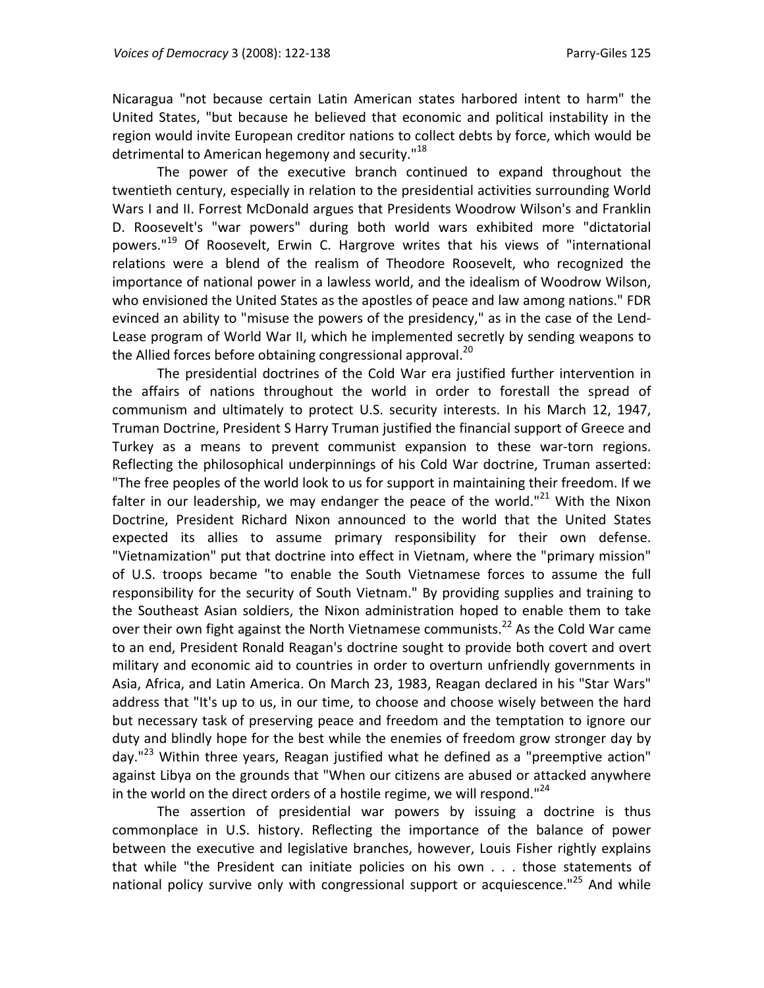Nicaragua "not because certain Latin American states harbored intent to harm" the United States, "but because he believed that economic and political instability in the region would invite European creditor nations to collect debts by force, which would be detrimental to American hegemony and security.<sup>"18</sup>

The power of the executive branch continued to expand throughout the twentieth century, especially in relation to the presidential activities surrounding World Wars I and II. Forrest McDonald argues that Presidents Woodrow Wilson's and Franklin D. Roosevelt's "war powers" during both world wars exhibited more "dictatorial powers."<sup>19</sup> Of Roosevelt, Erwin C. Hargrove writes that his views of "international relations were a blend of the realism of Theodore Roosevelt, who recognized the importance of national power in a lawless world, and the idealism of Woodrow Wilson, who envisioned the United States as the apostles of peace and law among nations." FDR evinced an ability to "misuse the powers of the presidency," as in the case of the Lend‐ Lease program of World War II, which he implemented secretly by sending weapons to the Allied forces before obtaining congressional approval.<sup>20</sup>

The presidential doctrines of the Cold War era justified further intervention in the affairs of nations throughout the world in order to forestall the spread of communism and ultimately to protect U.S. security interests. In his March 12, 1947, Truman Doctrine, President S Harry Truman justified the financial support of Greece and Turkey as a means to prevent communist expansion to these war‐torn regions. Reflecting the philosophical underpinnings of his Cold War doctrine, Truman asserted: "The free peoples of the world look to us for support in maintaining their freedom. If we falter in our leadership, we may endanger the peace of the world."<sup>21</sup> With the Nixon Doctrine, President Richard Nixon announced to the world that the United States expected its allies to assume primary responsibility for their own defense. "Vietnamization" put that doctrine into effect in Vietnam, where the "primary mission" of U.S. troops became "to enable the South Vietnamese forces to assume the full responsibility for the security of South Vietnam." By providing supplies and training to the Southeast Asian soldiers, the Nixon administration hoped to enable them to take over their own fight against the North Vietnamese communists.<sup>22</sup> As the Cold War came to an end, President Ronald Reagan's doctrine sought to provide both covert and overt military and economic aid to countries in order to overturn unfriendly governments in Asia, Africa, and Latin America. On March 23, 1983, Reagan declared in his "Star Wars" address that "It's up to us, in our time, to choose and choose wisely between the hard but necessary task of preserving peace and freedom and the temptation to ignore our duty and blindly hope for the best while the enemies of freedom grow stronger day by day."<sup>23</sup> Within three years, Reagan justified what he defined as a "preemptive action" against Libya on the grounds that "When our citizens are abused or attacked anywhere in the world on the direct orders of a hostile regime, we will respond."<sup>24</sup>

The assertion of presidential war powers by issuing a doctrine is thus commonplace in U.S. history. Reflecting the importance of the balance of power between the executive and legislative branches, however, Louis Fisher rightly explains that while "the President can initiate policies on his own . . . those statements of national policy survive only with congressional support or acquiescence."<sup>25</sup> And while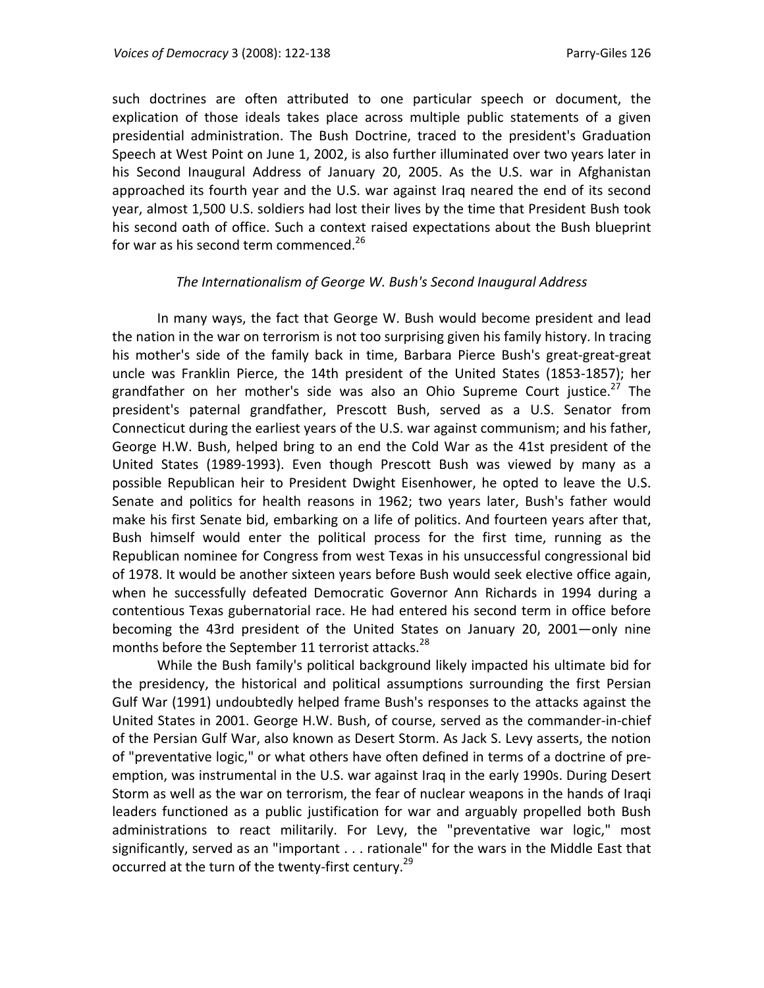such doctrines are often attributed to one particular speech or document, the explication of those ideals takes place across multiple public statements of a given presidential administration. The Bush Doctrine, traced to the president's Graduation Speech at West Point on June 1, 2002, is also further illuminated over two years later in his Second Inaugural Address of January 20, 2005. As the U.S. war in Afghanistan approached its fourth year and the U.S. war against Iraq neared the end of its second year, almost 1,500 U.S. soldiers had lost their lives by the time that President Bush took his second oath of office. Such a context raised expectations about the Bush blueprint for war as his second term commenced. $^{26}$ 

### *The Internationalism of George W. Bush's Second Inaugural Address*

In many ways, the fact that George W. Bush would become president and lead the nation in the war on terrorism is not too surprising given his family history. In tracing his mother's side of the family back in time, Barbara Pierce Bush's great‐great‐great uncle was Franklin Pierce, the 14th president of the United States (1853‐1857); her grandfather on her mother's side was also an Ohio Supreme Court justice.<sup>27</sup> The president's paternal grandfather, Prescott Bush, served as a U.S. Senator from Connecticut during the earliest years of the U.S. war against communism; and his father, George H.W. Bush, helped bring to an end the Cold War as the 41st president of the United States (1989‐1993). Even though Prescott Bush was viewed by many as a possible Republican heir to President Dwight Eisenhower, he opted to leave the U.S. Senate and politics for health reasons in 1962; two years later, Bush's father would make his first Senate bid, embarking on a life of politics. And fourteen years after that, Bush himself would enter the political process for the first time, running as the Republican nominee for Congress from west Texas in his unsuccessful congressional bid of 1978. It would be another sixteen years before Bush would seek elective office again, when he successfully defeated Democratic Governor Ann Richards in 1994 during a contentious Texas gubernatorial race. He had entered his second term in office before becoming the 43rd president of the United States on January 20, 2001—only nine months before the September 11 terrorist attacks.<sup>28</sup>

While the Bush family's political background likely impacted his ultimate bid for the presidency, the historical and political assumptions surrounding the first Persian Gulf War (1991) undoubtedly helped frame Bush's responses to the attacks against the United States in 2001. George H.W. Bush, of course, served as the commander‐in‐chief of the Persian Gulf War, also known as Desert Storm. As Jack S. Levy asserts, the notion of "preventative logic," or what others have often defined in terms of a doctrine of pre‐ emption, was instrumental in the U.S. war against Iraq in the early 1990s. During Desert Storm as well as the war on terrorism, the fear of nuclear weapons in the hands of Iraqi leaders functioned as a public justification for war and arguably propelled both Bush administrations to react militarily. For Levy, the "preventative war logic," most significantly, served as an "important . . . rationale" for the wars in the Middle East that occurred at the turn of the twenty-first century.<sup>29</sup>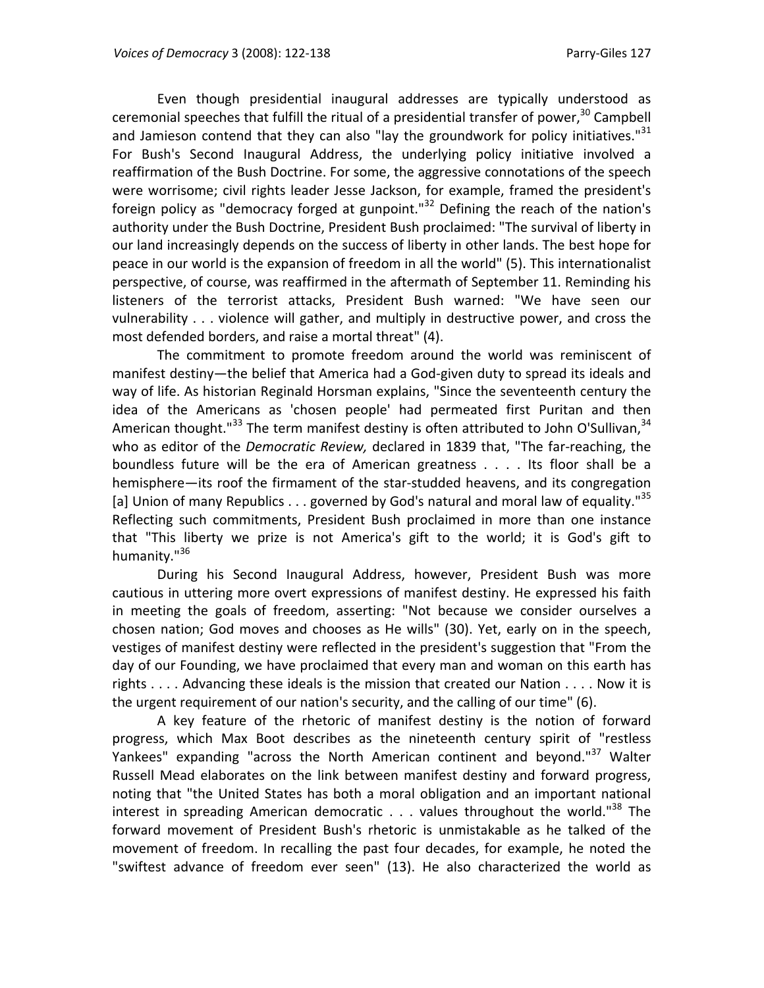Even though presidential inaugural addresses are typically understood as ceremonial speeches that fulfill the ritual of a presidential transfer of power,  $30$  Campbell and Jamieson contend that they can also "lay the groundwork for policy initiatives."<sup>31</sup> For Bush's Second Inaugural Address, the underlying policy initiative involved a reaffirmation of the Bush Doctrine. For some, the aggressive connotations of the speech were worrisome; civil rights leader Jesse Jackson, for example, framed the president's foreign policy as "democracy forged at gunpoint."<sup>32</sup> Defining the reach of the nation's authority under the Bush Doctrine, President Bush proclaimed: "The survival of liberty in our land increasingly depends on the success of liberty in other lands. The best hope for peace in our world is the expansion of freedom in all the world" (5). This internationalist perspective, of course, was reaffirmed in the aftermath of September 11. Reminding his listeners of the terrorist attacks, President Bush warned: "We have seen our vulnerability . . . violence will gather, and multiply in destructive power, and cross the most defended borders, and raise a mortal threat" (4).

The commitment to promote freedom around the world was reminiscent of manifest destiny—the belief that America had a God‐given duty to spread its ideals and way of life. As historian Reginald Horsman explains, "Since the seventeenth century the idea of the Americans as 'chosen people' had permeated first Puritan and then American thought."<sup>33</sup> The term manifest destiny is often attributed to John O'Sullivan,  $34$ who as editor of the *Democratic Review,* declared in 1839 that, "The far‐reaching, the boundless future will be the era of American greatness . . . . Its floor shall be a hemisphere—its roof the firmament of the star‐studded heavens, and its congregation [a] Union of many Republics . . . governed by God's natural and moral law of equality."<sup>35</sup> Reflecting such commitments, President Bush proclaimed in more than one instance that "This liberty we prize is not America's gift to the world; it is God's gift to humanity."<sup>36</sup>

During his Second Inaugural Address, however, President Bush was more cautious in uttering more overt expressions of manifest destiny. He expressed his faith in meeting the goals of freedom, asserting: "Not because we consider ourselves a chosen nation; God moves and chooses as He wills" (30). Yet, early on in the speech, vestiges of manifest destiny were reflected in the president's suggestion that "From the day of our Founding, we have proclaimed that every man and woman on this earth has rights . . . . Advancing these ideals is the mission that created our Nation . . . . Now it is the urgent requirement of our nation's security, and the calling of our time" (6).

A key feature of the rhetoric of manifest destiny is the notion of forward progress, which Max Boot describes as the nineteenth century spirit of "restless Yankees" expanding "across the North American continent and beyond."<sup>37</sup> Walter Russell Mead elaborates on the link between manifest destiny and forward progress, noting that "the United States has both a moral obligation and an important national interest in spreading American democratic  $\ldots$  values throughout the world."<sup>38</sup> The forward movement of President Bush's rhetoric is unmistakable as he talked of the movement of freedom. In recalling the past four decades, for example, he noted the "swiftest advance of freedom ever seen" (13). He also characterized the world as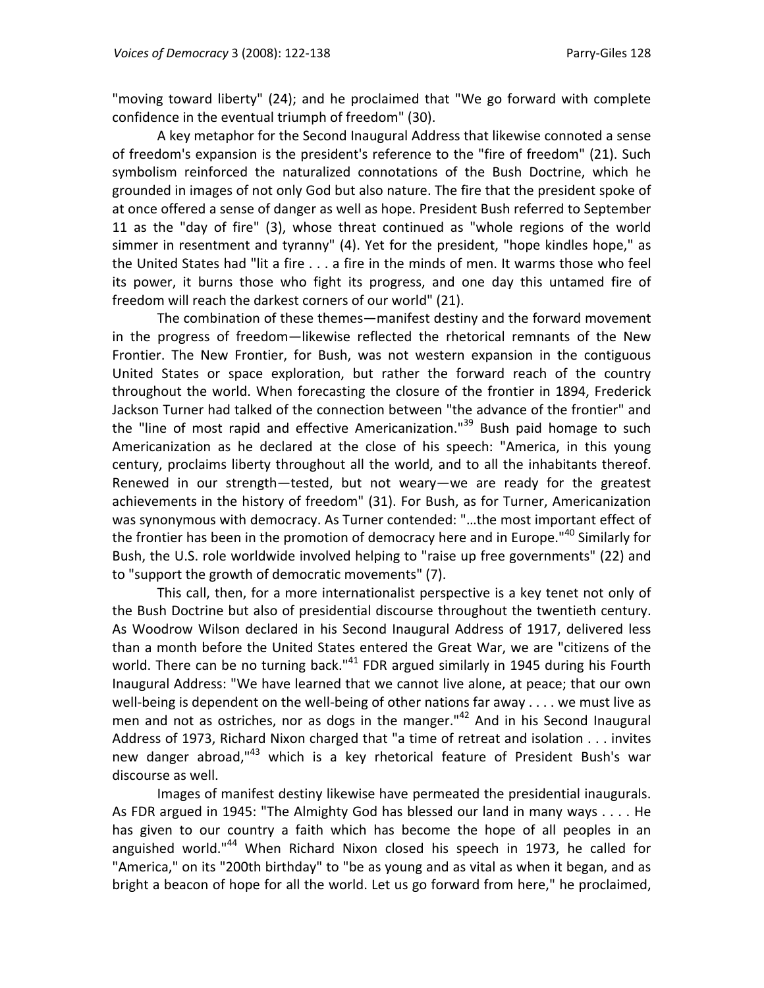"moving toward liberty" (24); and he proclaimed that "We go forward with complete confidence in the eventual triumph of freedom" (30).

A key metaphor for the Second Inaugural Address that likewise connoted a sense of freedom's expansion is the president's reference to the "fire of freedom" (21). Such symbolism reinforced the naturalized connotations of the Bush Doctrine, which he grounded in images of not only God but also nature. The fire that the president spoke of at once offered a sense of danger as well as hope. President Bush referred to September 11 as the "day of fire" (3), whose threat continued as "whole regions of the world simmer in resentment and tyranny" (4). Yet for the president, "hope kindles hope," as the United States had "lit a fire . . . a fire in the minds of men. It warms those who feel its power, it burns those who fight its progress, and one day this untamed fire of freedom will reach the darkest corners of our world" (21).

The combination of these themes—manifest destiny and the forward movement in the progress of freedom—likewise reflected the rhetorical remnants of the New Frontier. The New Frontier, for Bush, was not western expansion in the contiguous United States or space exploration, but rather the forward reach of the country throughout the world. When forecasting the closure of the frontier in 1894, Frederick Jackson Turner had talked of the connection between "the advance of the frontier" and the "line of most rapid and effective Americanization." $39$  Bush paid homage to such Americanization as he declared at the close of his speech: "America, in this young century, proclaims liberty throughout all the world, and to all the inhabitants thereof. Renewed in our strength—tested, but not weary—we are ready for the greatest achievements in the history of freedom" (31). For Bush, as for Turner, Americanization was synonymous with democracy. As Turner contended: "…the most important effect of the frontier has been in the promotion of democracy here and in Europe."<sup>40</sup> Similarly for Bush, the U.S. role worldwide involved helping to "raise up free governments" (22) and to "support the growth of democratic movements" (7).

This call, then, for a more internationalist perspective is a key tenet not only of the Bush Doctrine but also of presidential discourse throughout the twentieth century. As Woodrow Wilson declared in his Second Inaugural Address of 1917, delivered less than a month before the United States entered the Great War, we are "citizens of the world. There can be no turning back."<sup>41</sup> FDR argued similarly in 1945 during his Fourth Inaugural Address: "We have learned that we cannot live alone, at peace; that our own well-being is dependent on the well-being of other nations far away  $\dots$  we must live as men and not as ostriches, nor as dogs in the manger."<sup>42</sup> And in his Second Inaugural Address of 1973, Richard Nixon charged that "a time of retreat and isolation . . . invites new danger abroad,<sup>143</sup> which is a key rhetorical feature of President Bush's war discourse as well.

Images of manifest destiny likewise have permeated the presidential inaugurals. As FDR argued in 1945: "The Almighty God has blessed our land in many ways . . . . He has given to our country a faith which has become the hope of all peoples in an anguished world."<sup>44</sup> When Richard Nixon closed his speech in 1973, he called for "America," on its "200th birthday" to "be as young and as vital as when it began, and as bright a beacon of hope for all the world. Let us go forward from here," he proclaimed,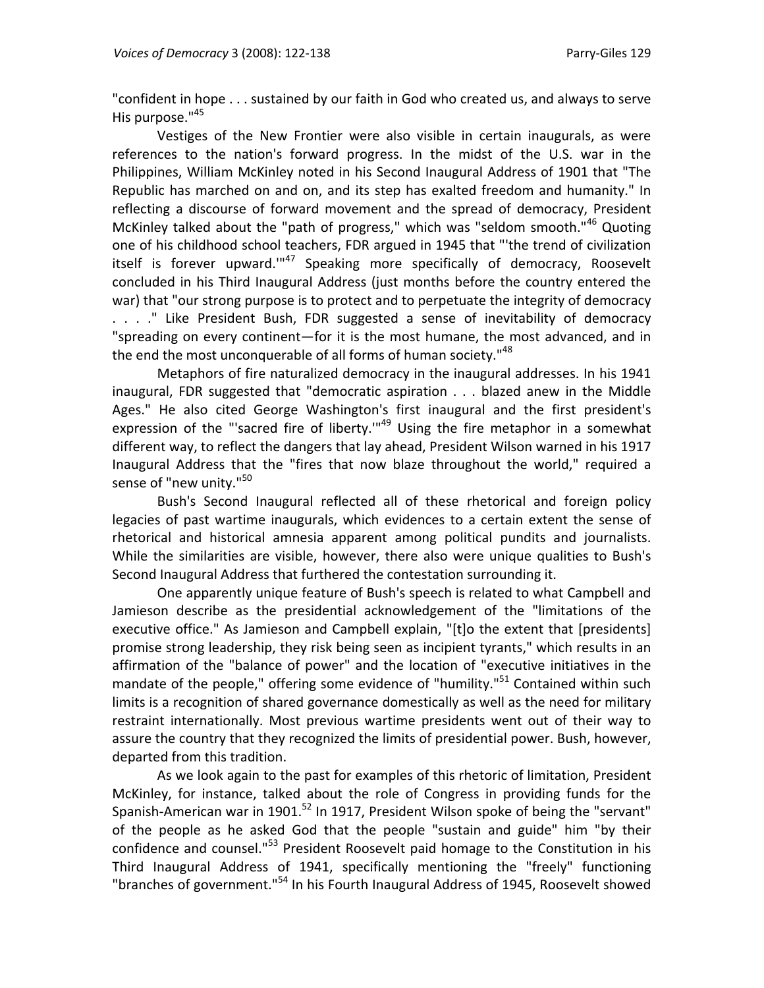"confident in hope . . . sustained by our faith in God who created us, and always to serve His purpose."<sup>45</sup>

Vestiges of the New Frontier were also visible in certain inaugurals, as were references to the nation's forward progress. In the midst of the U.S. war in the Philippines, William McKinley noted in his Second Inaugural Address of 1901 that "The Republic has marched on and on, and its step has exalted freedom and humanity." In reflecting a discourse of forward movement and the spread of democracy, President McKinley talked about the "path of progress," which was "seldom smooth."<sup>46</sup> Quoting one of his childhood school teachers, FDR argued in 1945 that "'the trend of civilization itself is forever upward."<sup>47</sup> Speaking more specifically of democracy, Roosevelt concluded in his Third Inaugural Address (just months before the country entered the war) that "our strong purpose is to protect and to perpetuate the integrity of democracy . . . ." Like President Bush, FDR suggested a sense of inevitability of democracy "spreading on every continent—for it is the most humane, the most advanced, and in the end the most unconquerable of all forms of human society."<sup>48</sup>

Metaphors of fire naturalized democracy in the inaugural addresses. In his 1941 inaugural, FDR suggested that "democratic aspiration . . . blazed anew in the Middle Ages." He also cited George Washington's first inaugural and the first president's expression of the "'sacred fire of liberty."<sup>49</sup> Using the fire metaphor in a somewhat different way, to reflect the dangers that lay ahead, President Wilson warned in his 1917 Inaugural Address that the "fires that now blaze throughout the world," required a sense of "new unity."<sup>50</sup>

Bush's Second Inaugural reflected all of these rhetorical and foreign policy legacies of past wartime inaugurals, which evidences to a certain extent the sense of rhetorical and historical amnesia apparent among political pundits and journalists. While the similarities are visible, however, there also were unique qualities to Bush's Second Inaugural Address that furthered the contestation surrounding it.

One apparently unique feature of Bush's speech is related to what Campbell and Jamieson describe as the presidential acknowledgement of the "limitations of the executive office." As Jamieson and Campbell explain, "[t]o the extent that [presidents] promise strong leadership, they risk being seen as incipient tyrants," which results in an affirmation of the "balance of power" and the location of "executive initiatives in the mandate of the people," offering some evidence of "humility."<sup>51</sup> Contained within such limits is a recognition of shared governance domestically as well as the need for military restraint internationally. Most previous wartime presidents went out of their way to assure the country that they recognized the limits of presidential power. Bush, however, departed from this tradition.

As we look again to the past for examples of this rhetoric of limitation, President McKinley, for instance, talked about the role of Congress in providing funds for the Spanish-American war in 1901.<sup>52</sup> In 1917, President Wilson spoke of being the "servant" of the people as he asked God that the people "sustain and guide" him "by their confidence and counsel."<sup>53</sup> President Roosevelt paid homage to the Constitution in his Third Inaugural Address of 1941, specifically mentioning the "freely" functioning "branches of government."<sup>54</sup> In his Fourth Inaugural Address of 1945, Roosevelt showed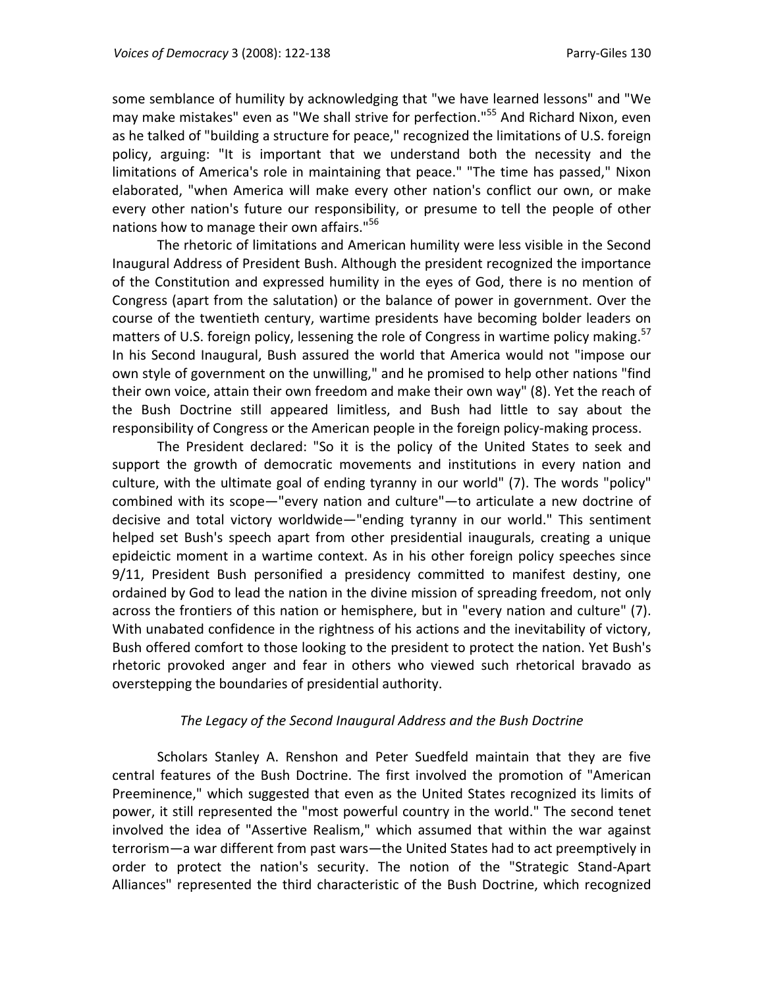some semblance of humility by acknowledging that "we have learned lessons" and "We may make mistakes" even as "We shall strive for perfection."<sup>55</sup> And Richard Nixon, even as he talked of "building a structure for peace," recognized the limitations of U.S. foreign policy, arguing: "It is important that we understand both the necessity and the limitations of America's role in maintaining that peace." "The time has passed," Nixon elaborated, "when America will make every other nation's conflict our own, or make every other nation's future our responsibility, or presume to tell the people of other nations how to manage their own affairs."<sup>56</sup>

The rhetoric of limitations and American humility were less visible in the Second Inaugural Address of President Bush. Although the president recognized the importance of the Constitution and expressed humility in the eyes of God, there is no mention of Congress (apart from the salutation) or the balance of power in government. Over the course of the twentieth century, wartime presidents have becoming bolder leaders on matters of U.S. foreign policy, lessening the role of Congress in wartime policy making.<sup>57</sup> In his Second Inaugural, Bush assured the world that America would not "impose our own style of government on the unwilling," and he promised to help other nations "find their own voice, attain their own freedom and make their own way" (8). Yet the reach of the Bush Doctrine still appeared limitless, and Bush had little to say about the responsibility of Congress or the American people in the foreign policy-making process.

The President declared: "So it is the policy of the United States to seek and support the growth of democratic movements and institutions in every nation and culture, with the ultimate goal of ending tyranny in our world" (7). The words "policy" combined with its scope—"every nation and culture"—to articulate a new doctrine of decisive and total victory worldwide—"ending tyranny in our world." This sentiment helped set Bush's speech apart from other presidential inaugurals, creating a unique epideictic moment in a wartime context. As in his other foreign policy speeches since 9/11, President Bush personified a presidency committed to manifest destiny, one ordained by God to lead the nation in the divine mission of spreading freedom, not only across the frontiers of this nation or hemisphere, but in "every nation and culture" (7). With unabated confidence in the rightness of his actions and the inevitability of victory, Bush offered comfort to those looking to the president to protect the nation. Yet Bush's rhetoric provoked anger and fear in others who viewed such rhetorical bravado as overstepping the boundaries of presidential authority.

### *The Legacy of the Second Inaugural Address and the Bush Doctrine*

Scholars Stanley A. Renshon and Peter Suedfeld maintain that they are five central features of the Bush Doctrine. The first involved the promotion of "American Preeminence," which suggested that even as the United States recognized its limits of power, it still represented the "most powerful country in the world." The second tenet involved the idea of "Assertive Realism," which assumed that within the war against terrorism—a war different from past wars—the United States had to act preemptively in order to protect the nation's security. The notion of the "Strategic Stand‐Apart Alliances" represented the third characteristic of the Bush Doctrine, which recognized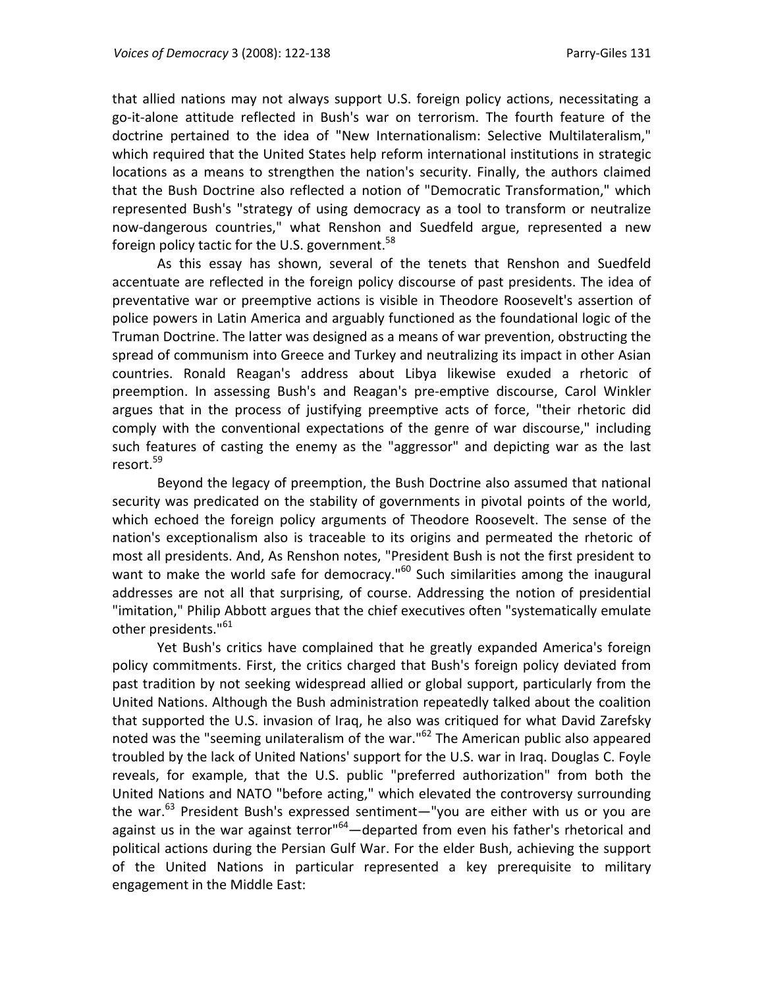that allied nations may not always support U.S. foreign policy actions, necessitating a go‐it‐alone attitude reflected in Bush's war on terrorism. The fourth feature of the doctrine pertained to the idea of "New Internationalism: Selective Multilateralism," which required that the United States help reform international institutions in strategic locations as a means to strengthen the nation's security. Finally, the authors claimed that the Bush Doctrine also reflected a notion of "Democratic Transformation," which represented Bush's "strategy of using democracy as a tool to transform or neutralize now-dangerous countries," what Renshon and Suedfeld argue, represented a new foreign policy tactic for the U.S. government.<sup>58</sup>

As this essay has shown, several of the tenets that Renshon and Suedfeld accentuate are reflected in the foreign policy discourse of past presidents. The idea of preventative war or preemptive actions is visible in Theodore Roosevelt's assertion of police powers in Latin America and arguably functioned as the foundational logic of the Truman Doctrine. The latter was designed as a means of war prevention, obstructing the spread of communism into Greece and Turkey and neutralizing its impact in other Asian countries. Ronald Reagan's address about Libya likewise exuded a rhetoric of preemption. In assessing Bush's and Reagan's pre‐emptive discourse, Carol Winkler argues that in the process of justifying preemptive acts of force, "their rhetoric did comply with the conventional expectations of the genre of war discourse," including such features of casting the enemy as the "aggressor" and depicting war as the last resort.<sup>59</sup>

Beyond the legacy of preemption, the Bush Doctrine also assumed that national security was predicated on the stability of governments in pivotal points of the world, which echoed the foreign policy arguments of Theodore Roosevelt. The sense of the nation's exceptionalism also is traceable to its origins and permeated the rhetoric of most all presidents. And, As Renshon notes, "President Bush is not the first president to want to make the world safe for democracy."<sup>60</sup> Such similarities among the inaugural addresses are not all that surprising, of course. Addressing the notion of presidential "imitation," Philip Abbott argues that the chief executives often "systematically emulate other presidents."<sup>61</sup>

Yet Bush's critics have complained that he greatly expanded America's foreign policy commitments. First, the critics charged that Bush's foreign policy deviated from past tradition by not seeking widespread allied or global support, particularly from the United Nations. Although the Bush administration repeatedly talked about the coalition that supported the U.S. invasion of Iraq, he also was critiqued for what David Zarefsky noted was the "seeming unilateralism of the war."<sup>62</sup> The American public also appeared troubled by the lack of United Nations' support for the U.S. war in Iraq. Douglas C. Foyle reveals, for example, that the U.S. public "preferred authorization" from both the United Nations and NATO "before acting," which elevated the controversy surrounding the war.<sup>63</sup> President Bush's expressed sentiment—"you are either with us or you are against us in the war against terror"<sup>64</sup>—departed from even his father's rhetorical and political actions during the Persian Gulf War. For the elder Bush, achieving the support of the United Nations in particular represented a key prerequisite to military engagement in the Middle East: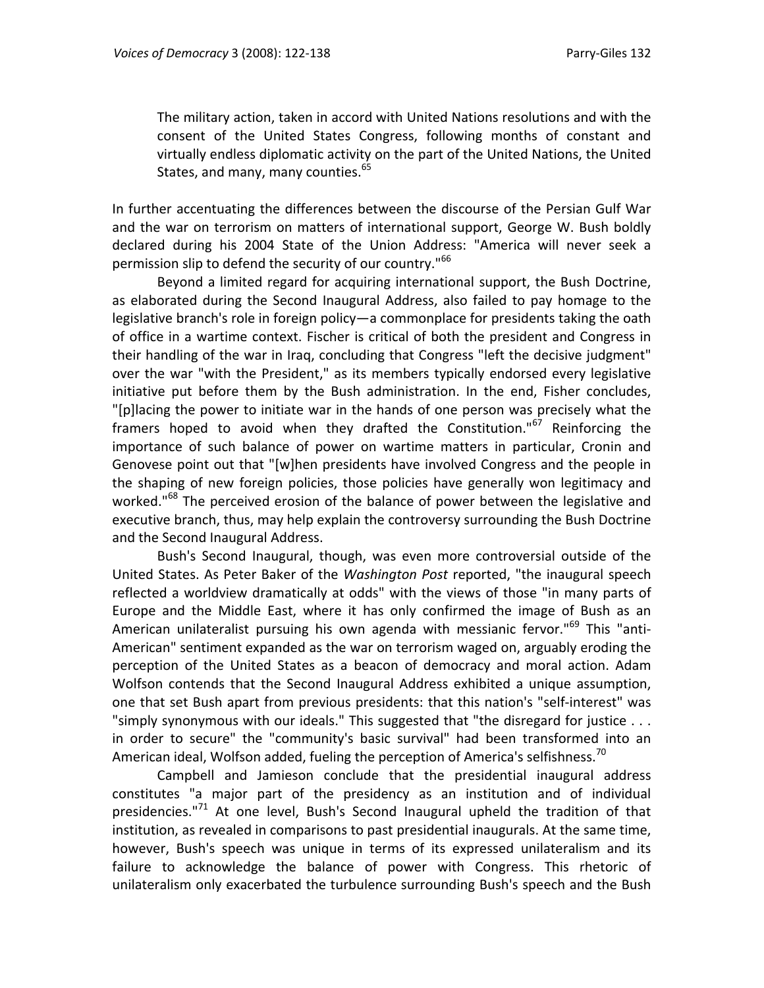The military action, taken in accord with United Nations resolutions and with the consent of the United States Congress, following months of constant and virtually endless diplomatic activity on the part of the United Nations, the United States, and many, many counties.<sup>65</sup>

In further accentuating the differences between the discourse of the Persian Gulf War and the war on terrorism on matters of international support, George W. Bush boldly declared during his 2004 State of the Union Address: "America will never seek a permission slip to defend the security of our country."<sup>66</sup>

Beyond a limited regard for acquiring international support, the Bush Doctrine, as elaborated during the Second Inaugural Address, also failed to pay homage to the legislative branch's role in foreign policy—a commonplace for presidents taking the oath of office in a wartime context. Fischer is critical of both the president and Congress in their handling of the war in Iraq, concluding that Congress "left the decisive judgment" over the war "with the President," as its members typically endorsed every legislative initiative put before them by the Bush administration. In the end, Fisher concludes, "[p]lacing the power to initiate war in the hands of one person was precisely what the framers hoped to avoid when they drafted the Constitution."<sup>67</sup> Reinforcing the importance of such balance of power on wartime matters in particular, Cronin and Genovese point out that "[w]hen presidents have involved Congress and the people in the shaping of new foreign policies, those policies have generally won legitimacy and worked."<sup>68</sup> The perceived erosion of the balance of power between the legislative and executive branch, thus, may help explain the controversy surrounding the Bush Doctrine and the Second Inaugural Address.

Bush's Second Inaugural, though, was even more controversial outside of the United States. As Peter Baker of the *Washington Post* reported, "the inaugural speech reflected a worldview dramatically at odds" with the views of those "in many parts of Europe and the Middle East, where it has only confirmed the image of Bush as an American unilateralist pursuing his own agenda with messianic fervor."<sup>69</sup> This "anti-American" sentiment expanded as the war on terrorism waged on, arguably eroding the perception of the United States as a beacon of democracy and moral action. Adam Wolfson contends that the Second Inaugural Address exhibited a unique assumption, one that set Bush apart from previous presidents: that this nation's "self‐interest" was "simply synonymous with our ideals." This suggested that "the disregard for justice . . . in order to secure" the "community's basic survival" had been transformed into an American ideal, Wolfson added, fueling the perception of America's selfishness.<sup>70</sup>

Campbell and Jamieson conclude that the presidential inaugural address constitutes "a major part of the presidency as an institution and of individual presidencies."<sup>71</sup> At one level, Bush's Second Inaugural upheld the tradition of that institution, as revealed in comparisons to past presidential inaugurals. At the same time, however, Bush's speech was unique in terms of its expressed unilateralism and its failure to acknowledge the balance of power with Congress. This rhetoric of unilateralism only exacerbated the turbulence surrounding Bush's speech and the Bush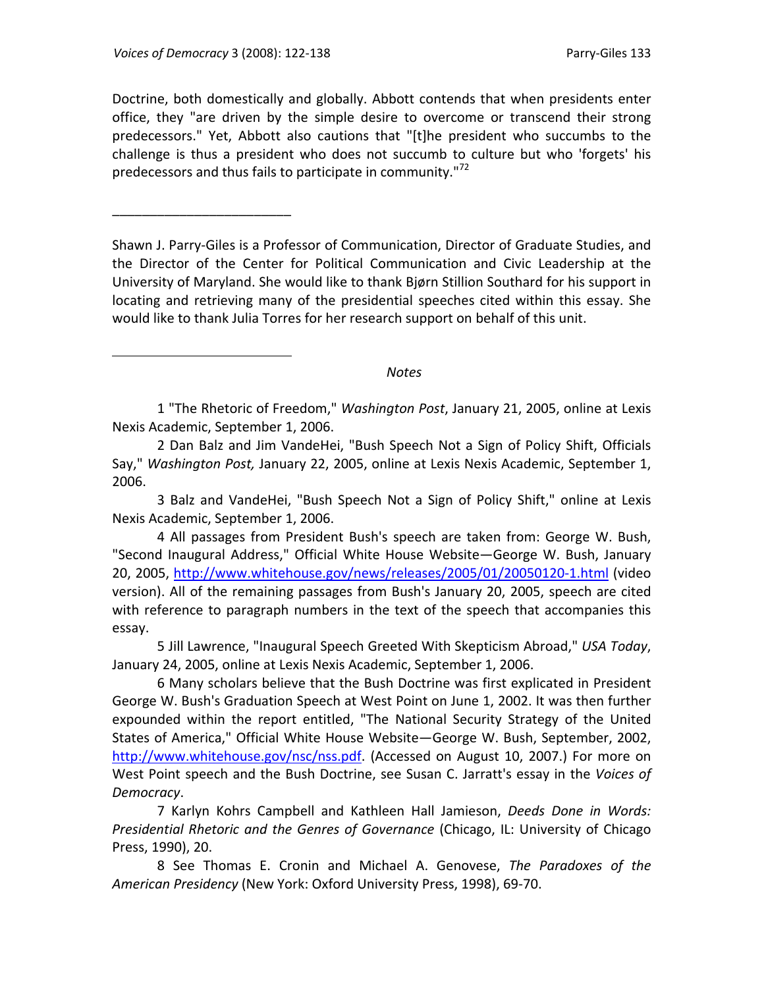\_\_\_\_\_\_\_\_\_\_\_\_\_\_\_\_\_\_\_\_\_\_\_\_

 $\overline{a}$ 

Doctrine, both domestically and globally. Abbott contends that when presidents enter office, they "are driven by the simple desire to overcome or transcend their strong predecessors." Yet, Abbott also cautions that "[t]he president who succumbs to the challenge is thus a president who does not succumb to culture but who 'forgets' his predecessors and thus fails to participate in community."<sup>72</sup>

Shawn J. Parry‐Giles is a Professor of Communication, Director of Graduate Studies, and the Director of the Center for Political Communication and Civic Leadership at the University of Maryland. She would like to thank Bjørn Stillion Southard for his support in locating and retrieving many of the presidential speeches cited within this essay. She would like to thank Julia Torres for her research support on behalf of this unit.

### *Notes*

1 "The Rhetoric of Freedom," *Washington Post*, January 21, 2005, online at Lexis Nexis Academic, September 1, 2006.

2 Dan Balz and Jim VandeHei, "Bush Speech Not a Sign of Policy Shift, Officials Say," *Washington Post,* January 22, 2005, online at Lexis Nexis Academic, September 1, 2006.

3 Balz and VandeHei, "Bush Speech Not a Sign of Policy Shift," online at Lexis Nexis Academic, September 1, 2006.

4 All passages from President Bush's speech are taken from: George W. Bush, "Second Inaugural Address," Official White House Website—George W. Bush, January 20, 2005, http://www.whitehouse.gov/news/releases/2005/01/20050120‐1.html (video version). All of the remaining passages from Bush's January 20, 2005, speech are cited with reference to paragraph numbers in the text of the speech that accompanies this essay.

5 Jill Lawrence, "Inaugural Speech Greeted With Skepticism Abroad," *USA Today*, January 24, 2005, online at Lexis Nexis Academic, September 1, 2006.

6 Many scholars believe that the Bush Doctrine was first explicated in President George W. Bush's Graduation Speech at West Point on June 1, 2002. It was then further expounded within the report entitled, "The National Security Strategy of the United States of America," Official White House Website—George W. Bush, September, 2002, http://www.whitehouse.gov/nsc/nss.pdf. (Accessed on August 10, 2007.) For more on West Point speech and the Bush Doctrine, see Susan C. Jarratt's essay in the *Voices of Democracy*.

7 Karlyn Kohrs Campbell and Kathleen Hall Jamieson, *Deeds Done in Words: Presidential Rhetoric and the Genres of Governance* (Chicago, IL: University of Chicago Press, 1990), 20.

8 See Thomas E. Cronin and Michael A. Genovese, *The Paradoxes of the American Presidency* (New York: Oxford University Press, 1998), 69‐70.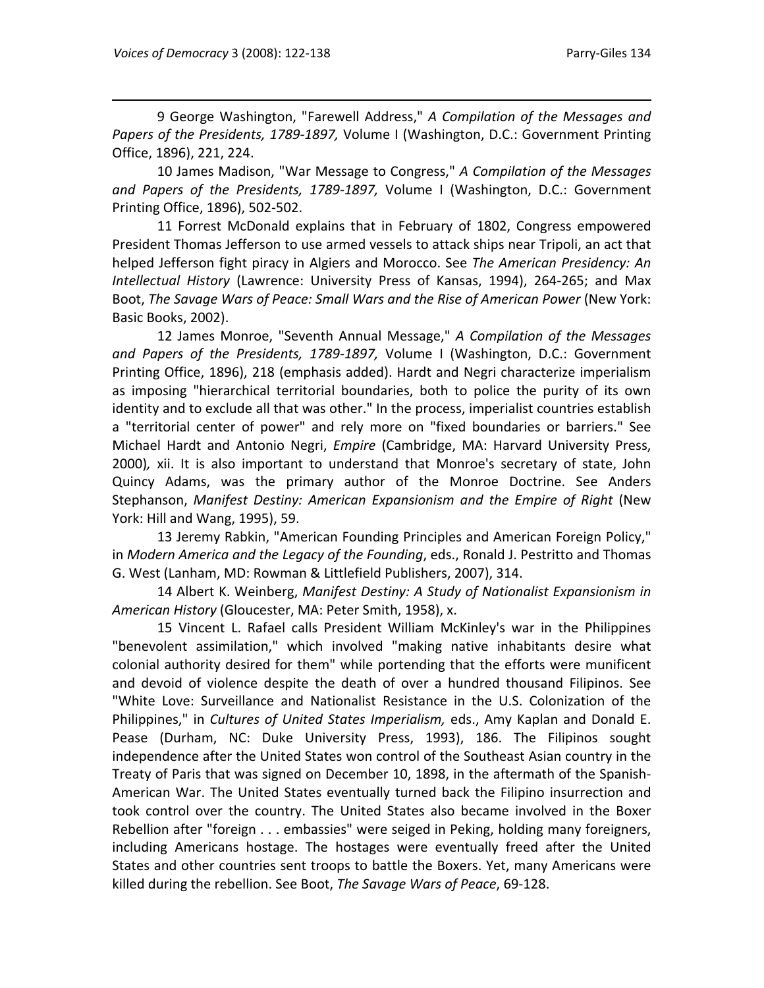9 George Washington, "Farewell Address," *A Compilation of the Messages and Papers of the Presidents, 1789‐1897,* Volume I (Washington, D.C.: Government Printing Office, 1896), 221, 224.

10 James Madison, "War Message to Congress," *A Compilation of the Messages and Papers of the Presidents, 1789‐1897,* Volume I (Washington, D.C.: Government Printing Office, 1896), 502‐502.

11 Forrest McDonald explains that in February of 1802, Congress empowered President Thomas Jefferson to use armed vessels to attack ships near Tripoli, an act that helped Jefferson fight piracy in Algiers and Morocco. See *The American Presidency: An Intellectual History* (Lawrence: University Press of Kansas, 1994), 264‐265; and Max Boot, *The Savage Wars of Peace: Small Wars and the Rise of American Power* (New York: Basic Books, 2002).

12 James Monroe, "Seventh Annual Message," *A Compilation of the Messages and Papers of the Presidents, 1789‐1897,* Volume I (Washington, D.C.: Government Printing Office, 1896), 218 (emphasis added). Hardt and Negri characterize imperialism as imposing "hierarchical territorial boundaries, both to police the purity of its own identity and to exclude all that was other." In the process, imperialist countries establish a "territorial center of power" and rely more on "fixed boundaries or barriers." See Michael Hardt and Antonio Negri, *Empire* (Cambridge, MA: Harvard University Press, 2000)*,* xii. It is also important to understand that Monroe's secretary of state, John Quincy Adams, was the primary author of the Monroe Doctrine. See Anders Stephanson, *Manifest Destiny: American Expansionism and the Empire of Right* (New York: Hill and Wang, 1995), 59.

13 Jeremy Rabkin, "American Founding Principles and American Foreign Policy," in *Modern America and the Legacy of the Founding*, eds., Ronald J. Pestritto and Thomas G. West (Lanham, MD: Rowman & Littlefield Publishers, 2007), 314.

14 Albert K. Weinberg, *Manifest Destiny: A Study of Nationalist Expansionism in American History* (Gloucester, MA: Peter Smith, 1958), x.

15 Vincent L. Rafael calls President William McKinley's war in the Philippines "benevolent assimilation," which involved "making native inhabitants desire what colonial authority desired for them" while portending that the efforts were munificent and devoid of violence despite the death of over a hundred thousand Filipinos. See "White Love: Surveillance and Nationalist Resistance in the U.S. Colonization of the Philippines," in *Cultures of United States Imperialism,* eds., Amy Kaplan and Donald E. Pease (Durham, NC: Duke University Press, 1993), 186. The Filipinos sought independence after the United States won control of the Southeast Asian country in the Treaty of Paris that was signed on December 10, 1898, in the aftermath of the Spanish‐ American War. The United States eventually turned back the Filipino insurrection and took control over the country. The United States also became involved in the Boxer Rebellion after "foreign . . . embassies" were seiged in Peking, holding many foreigners, including Americans hostage. The hostages were eventually freed after the United States and other countries sent troops to battle the Boxers. Yet, many Americans were killed during the rebellion. See Boot, *The Savage Wars of Peace*, 69‐128.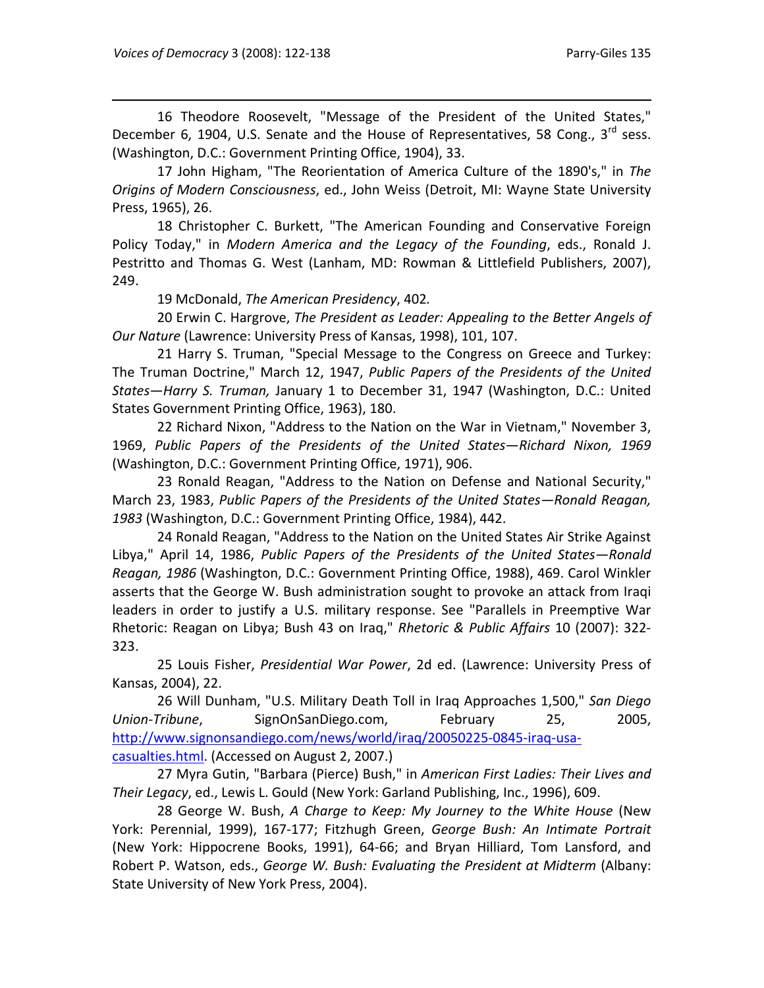16 Theodore Roosevelt, "Message of the President of the United States," December 6, 1904, U.S. Senate and the House of Representatives, 58 Cong.,  $3^{rd}$  sess. (Washington, D.C.: Government Printing Office, 1904), 33.

17 John Higham, "The Reorientation of America Culture of the 1890's," in *The Origins of Modern Consciousness*, ed., John Weiss (Detroit, MI: Wayne State University Press, 1965), 26.

18 Christopher C. Burkett, "The American Founding and Conservative Foreign Policy Today," in *Modern America and the Legacy of the Founding*, eds., Ronald J. Pestritto and Thomas G. West (Lanham, MD: Rowman & Littlefield Publishers, 2007), 249.

19 McDonald, *The American Presidency*, 402*.*

20 Erwin C. Hargrove, *The President as Leader: Appealing to the Better Angels of Our Nature* (Lawrence: University Press of Kansas, 1998), 101, 107.

21 Harry S. Truman, "Special Message to the Congress on Greece and Turkey: The Truman Doctrine," March 12, 1947, *Public Papers of the Presidents of the United States*—*Harry S. Truman,* January 1 to December 31, 1947 (Washington, D.C.: United States Government Printing Office, 1963), 180.

22 Richard Nixon, "Address to the Nation on the War in Vietnam," November 3, 1969, *Public Papers of the Presidents of the United States—Richard Nixon, 1969* (Washington, D.C.: Government Printing Office, 1971), 906.

23 Ronald Reagan, "Address to the Nation on Defense and National Security," March 23, 1983, *Public Papers of the Presidents of the United States—Ronald Reagan, 1983* (Washington, D.C.: Government Printing Office, 1984), 442.

24 Ronald Reagan, "Address to the Nation on the United States Air Strike Against Libya," April 14, 1986, *Public Papers of the Presidents of the United States—Ronald Reagan, 1986* (Washington, D.C.: Government Printing Office, 1988), 469. Carol Winkler asserts that the George W. Bush administration sought to provoke an attack from Iraqi leaders in order to justify a U.S. military response. See "Parallels in Preemptive War Rhetoric: Reagan on Libya; Bush 43 on Iraq," *Rhetoric & Public Affairs* 10 (2007): 322‐ 323.

25 Louis Fisher, *Presidential War Power*, 2d ed. (Lawrence: University Press of Kansas, 2004), 22.

26 Will Dunham, "U.S. Military Death Toll in Iraq Approaches 1,500," *San Diego Union‐Tribune*, SignOnSanDiego.com, February 25, 2005, http://www.signonsandiego.com/news/world/iraq/20050225-0845-iraq-usacasualties.html. (Accessed on August 2, 2007.)

27 Myra Gutin, "Barbara (Pierce) Bush," in *American First Ladies: Their Lives and Their Legacy*, ed., Lewis L. Gould (New York: Garland Publishing, Inc., 1996), 609.

28 George W. Bush, *A Charge to Keep: My Journey to the White House* (New York: Perennial, 1999), 167‐177; Fitzhugh Green, *George Bush: An Intimate Portrait* (New York: Hippocrene Books, 1991), 64‐66; and Bryan Hilliard, Tom Lansford, and Robert P. Watson, eds., *George W. Bush: Evaluating the President at Midterm* (Albany: State University of New York Press, 2004).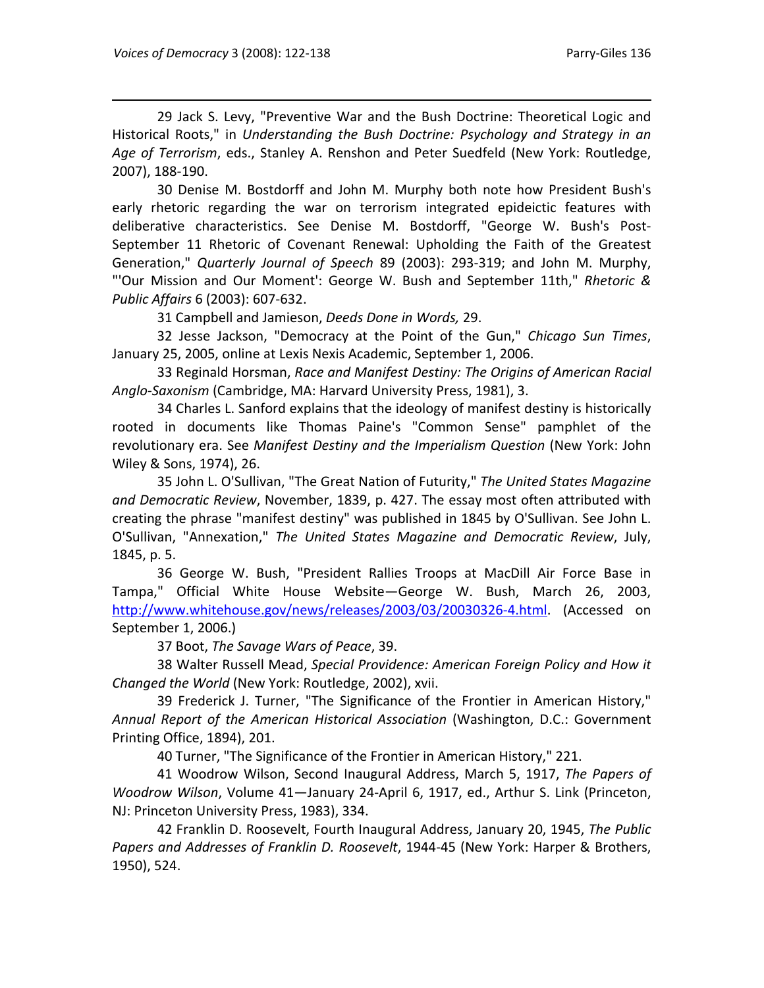29 Jack S. Levy, "Preventive War and the Bush Doctrine: Theoretical Logic and Historical Roots," in *Understanding the Bush Doctrine: Psychology and Strategy in an Age of Terrorism*, eds., Stanley A. Renshon and Peter Suedfeld (New York: Routledge, 2007), 188‐190.

30 Denise M. Bostdorff and John M. Murphy both note how President Bush's early rhetoric regarding the war on terrorism integrated epideictic features with deliberative characteristics. See Denise M. Bostdorff, "George W. Bush's Post‐ September 11 Rhetoric of Covenant Renewal: Upholding the Faith of the Greatest Generation," *Quarterly Journal of Speech* 89 (2003): 293‐319; and John M. Murphy, "'Our Mission and Our Moment': George W. Bush and September 11th," *Rhetoric & Public Affairs* 6 (2003): 607‐632.

31 Campbell and Jamieson, *Deeds Done in Words,* 29.

32 Jesse Jackson, "Democracy at the Point of the Gun," *Chicago Sun Times*, January 25, 2005, online at Lexis Nexis Academic, September 1, 2006.

33 Reginald Horsman, *Race and Manifest Destiny: The Origins of American Racial Anglo‐Saxonism* (Cambridge, MA: Harvard University Press, 1981), 3.

34 Charles L. Sanford explains that the ideology of manifest destiny is historically rooted in documents like Thomas Paine's "Common Sense" pamphlet of the revolutionary era. See *Manifest Destiny and the Imperialism Question* (New York: John Wiley & Sons, 1974), 26.

35 John L. O'Sullivan, "The Great Nation of Futurity," *The United States Magazine and Democratic Review*, November, 1839, p. 427. The essay most often attributed with creating the phrase "manifest destiny" was published in 1845 by O'Sullivan. See John L. O'Sullivan, "Annexation," *The United States Magazine and Democratic Review*, July, 1845, p. 5.

36 George W. Bush, "President Rallies Troops at MacDill Air Force Base in Tampa," Official White House Website—George W. Bush, March 26, 2003, http://www.whitehouse.gov/news/releases/2003/03/20030326-4.html. (Accessed on September 1, 2006.)

37 Boot, *The Savage Wars of Peace*, 39.

38 Walter Russell Mead, *Special Providence: American Foreign Policy and How it Changed the World* (New York: Routledge, 2002), xvii.

39 Frederick J. Turner, "The Significance of the Frontier in American History," *Annual Report of the American Historical Association* (Washington, D.C.: Government Printing Office, 1894), 201.

40 Turner, "The Significance of the Frontier in American History," 221.

41 Woodrow Wilson, Second Inaugural Address, March 5, 1917, *The Papers of Woodrow Wilson*, Volume 41—January 24‐April 6, 1917, ed., Arthur S. Link (Princeton, NJ: Princeton University Press, 1983), 334.

42 Franklin D. Roosevelt, Fourth Inaugural Address, January 20, 1945, *The Public Papers and Addresses of Franklin D. Roosevelt*, 1944‐45 (New York: Harper & Brothers, 1950), 524.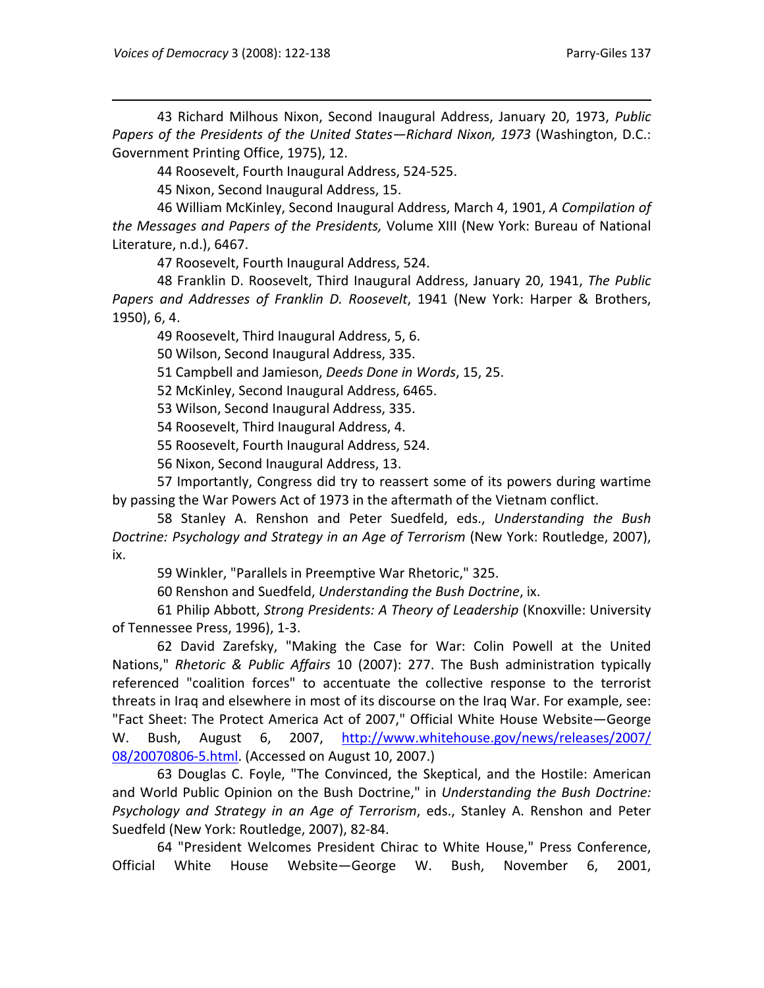43 Richard Milhous Nixon, Second Inaugural Address, January 20, 1973, *Public Papers of the Presidents of the United States—Richard Nixon, 1973* (Washington, D.C.: Government Printing Office, 1975), 12.

44 Roosevelt, Fourth Inaugural Address, 524‐525.

45 Nixon, Second Inaugural Address, 15.

46 William McKinley, Second Inaugural Address, March 4, 1901, *A Compilation of the Messages and Papers of the Presidents,* Volume XIII (New York: Bureau of National Literature, n.d.), 6467.

47 Roosevelt, Fourth Inaugural Address, 524.

48 Franklin D. Roosevelt, Third Inaugural Address, January 20, 1941, *The Public Papers and Addresses of Franklin D. Roosevelt*, 1941 (New York: Harper & Brothers, 1950), 6, 4.

49 Roosevelt, Third Inaugural Address, 5, 6.

50 Wilson, Second Inaugural Address, 335.

51 Campbell and Jamieson, *Deeds Done in Words*, 15, 25.

52 McKinley, Second Inaugural Address, 6465.

53 Wilson, Second Inaugural Address, 335.

54 Roosevelt, Third Inaugural Address, 4.

55 Roosevelt, Fourth Inaugural Address, 524.

56 Nixon, Second Inaugural Address, 13.

57 Importantly, Congress did try to reassert some of its powers during wartime by passing the War Powers Act of 1973 in the aftermath of the Vietnam conflict.

58 Stanley A. Renshon and Peter Suedfeld, eds., *Understanding the Bush Doctrine: Psychology and Strategy in an Age of Terrorism* (New York: Routledge, 2007), ix.

59 Winkler, "Parallels in Preemptive War Rhetoric," 325.

60 Renshon and Suedfeld, *Understanding the Bush Doctrine*, ix.

61 Philip Abbott, *Strong Presidents: A Theory of Leadership* (Knoxville: University of Tennessee Press, 1996), 1‐3.

62 David Zarefsky, "Making the Case for War: Colin Powell at the United Nations," *Rhetoric & Public Affairs* 10 (2007): 277. The Bush administration typically referenced "coalition forces" to accentuate the collective response to the terrorist threats in Iraq and elsewhere in most of its discourse on the Iraq War. For example, see: "Fact Sheet: The Protect America Act of 2007," Official White House Website—George W. Bush, August 6, 2007, http://www.whitehouse.gov/news/releases/2007/ 08/20070806‐5.html. (Accessed on August 10, 2007.)

63 Douglas C. Foyle, "The Convinced, the Skeptical, and the Hostile: American and World Public Opinion on the Bush Doctrine," in *Understanding the Bush Doctrine: Psychology and Strategy in an Age of Terrorism*, eds., Stanley A. Renshon and Peter Suedfeld (New York: Routledge, 2007), 82‐84.

64 "President Welcomes President Chirac to White House," Press Conference, Official White House Website—George W. Bush, November 6, 2001,